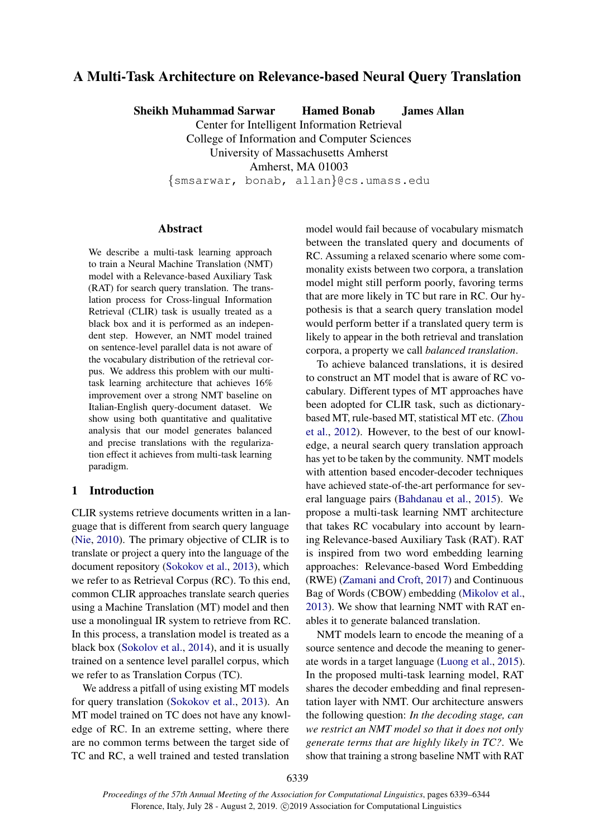# <span id="page-0-0"></span>A Multi-Task Architecture on Relevance-based Neural Query Translation

Sheikh Muhammad Sarwar Hamed Bonab James Allan

Center for Intelligent Information Retrieval College of Information and Computer Sciences University of Massachusetts Amherst

Amherst, MA 01003

{smsarwar, bonab, allan}@cs.umass.edu

## Abstract

We describe a multi-task learning approach to train a Neural Machine Translation (NMT) model with a Relevance-based Auxiliary Task (RAT) for search query translation. The translation process for Cross-lingual Information Retrieval (CLIR) task is usually treated as a black box and it is performed as an independent step. However, an NMT model trained on sentence-level parallel data is not aware of the vocabulary distribution of the retrieval corpus. We address this problem with our multitask learning architecture that achieves 16% improvement over a strong NMT baseline on Italian-English query-document dataset. We show using both quantitative and qualitative analysis that our model generates balanced and precise translations with the regularization effect it achieves from multi-task learning paradigm.

## 1 Introduction

CLIR systems retrieve documents written in a language that is different from search query language [\(Nie,](#page-4-0) [2010\)](#page-4-0). The primary objective of CLIR is to translate or project a query into the language of the document repository [\(Sokokov et al.,](#page-5-0) [2013\)](#page-5-0), which we refer to as Retrieval Corpus (RC). To this end, common CLIR approaches translate search queries using a Machine Translation (MT) model and then use a monolingual IR system to retrieve from RC. In this process, a translation model is treated as a black box [\(Sokolov et al.,](#page-5-1) [2014\)](#page-5-1), and it is usually trained on a sentence level parallel corpus, which we refer to as Translation Corpus (TC).

We address a pitfall of using existing MT models for query translation [\(Sokokov et al.,](#page-5-0) [2013\)](#page-5-0). An MT model trained on TC does not have any knowledge of RC. In an extreme setting, where there are no common terms between the target side of TC and RC, a well trained and tested translation model would fail because of vocabulary mismatch between the translated query and documents of RC. Assuming a relaxed scenario where some commonality exists between two corpora, a translation model might still perform poorly, favoring terms that are more likely in TC but rare in RC. Our hypothesis is that a search query translation model would perform better if a translated query term is likely to appear in the both retrieval and translation corpora, a property we call *balanced translation*.

To achieve balanced translations, it is desired to construct an MT model that is aware of RC vocabulary. Different types of MT approaches have been adopted for CLIR task, such as dictionarybased MT, rule-based MT, statistical MT etc. [\(Zhou](#page-5-2) [et al.,](#page-5-2) [2012\)](#page-5-2). However, to the best of our knowledge, a neural search query translation approach has yet to be taken by the community. NMT models with attention based encoder-decoder techniques have achieved state-of-the-art performance for several language pairs [\(Bahdanau et al.,](#page-4-1) [2015\)](#page-4-1). We propose a multi-task learning NMT architecture that takes RC vocabulary into account by learning Relevance-based Auxiliary Task (RAT). RAT is inspired from two word embedding learning approaches: Relevance-based Word Embedding (RWE) [\(Zamani and Croft,](#page-5-3) [2017\)](#page-5-3) and Continuous Bag of Words (CBOW) embedding [\(Mikolov et al.,](#page-4-2) [2013\)](#page-4-2). We show that learning NMT with RAT enables it to generate balanced translation.

NMT models learn to encode the meaning of a source sentence and decode the meaning to generate words in a target language [\(Luong et al.,](#page-4-3) [2015\)](#page-4-3). In the proposed multi-task learning model, RAT shares the decoder embedding and final representation layer with NMT. Our architecture answers the following question: *In the decoding stage, can we restrict an NMT model so that it does not only generate terms that are highly likely in TC?*. We show that training a strong baseline NMT with RAT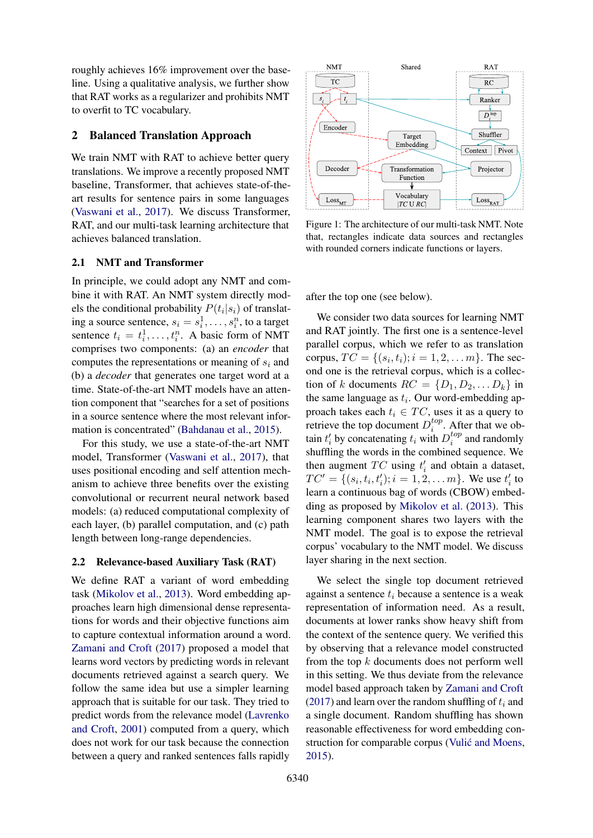roughly achieves 16% improvement over the baseline. Using a qualitative analysis, we further show that RAT works as a regularizer and prohibits NMT to overfit to TC vocabulary.

## 2 Balanced Translation Approach

We train NMT with RAT to achieve better query translations. We improve a recently proposed NMT baseline, Transformer, that achieves state-of-theart results for sentence pairs in some languages [\(Vaswani et al.,](#page-5-4) [2017\)](#page-5-4). We discuss Transformer, RAT, and our multi-task learning architecture that achieves balanced translation.

## 2.1 NMT and Transformer

In principle, we could adopt any NMT and combine it with RAT. An NMT system directly models the conditional probability  $P(t_i|s_i)$  of translating a source sentence,  $s_i = s_i^1, \dots, s_i^n$ , to a target sentence  $t_i = t_i^1, \dots, t_i^n$ . A basic form of NMT comprises two components: (a) an *encoder* that computes the representations or meaning of  $s_i$  and (b) a *decoder* that generates one target word at a time. State-of-the-art NMT models have an attention component that "searches for a set of positions in a source sentence where the most relevant information is concentrated" [\(Bahdanau et al.,](#page-4-1) [2015\)](#page-4-1).

For this study, we use a state-of-the-art NMT model, Transformer [\(Vaswani et al.,](#page-5-4) [2017\)](#page-5-4), that uses positional encoding and self attention mechanism to achieve three benefits over the existing convolutional or recurrent neural network based models: (a) reduced computational complexity of each layer, (b) parallel computation, and (c) path length between long-range dependencies.

#### 2.2 Relevance-based Auxiliary Task (RAT)

We define RAT a variant of word embedding task [\(Mikolov et al.,](#page-4-2) [2013\)](#page-4-2). Word embedding approaches learn high dimensional dense representations for words and their objective functions aim to capture contextual information around a word. [Zamani and Croft](#page-5-3) [\(2017\)](#page-5-3) proposed a model that learns word vectors by predicting words in relevant documents retrieved against a search query. We follow the same idea but use a simpler learning approach that is suitable for our task. They tried to predict words from the relevance model [\(Lavrenko](#page-4-4) [and Croft,](#page-4-4) [2001\)](#page-4-4) computed from a query, which does not work for our task because the connection between a query and ranked sentences falls rapidly

<span id="page-1-0"></span>

Figure 1: The architecture of our multi-task NMT. Note that, rectangles indicate data sources and rectangles with rounded corners indicate functions or layers.

after the top one (see below).

We consider two data sources for learning NMT and RAT jointly. The first one is a sentence-level parallel corpus, which we refer to as translation corpus,  $TC = \{(s_i, t_i); i = 1, 2, \dots m\}$ . The second one is the retrieval corpus, which is a collection of k documents  $RC = \{D_1, D_2, \dots D_k\}$  in the same language as  $t_i$ . Our word-embedding approach takes each  $t_i \in TC$ , uses it as a query to retrieve the top document  $D_i^{top}$  $i^{top}$ . After that we obtain  $t'_i$  by concatenating  $t_i$  with  $D_i^{top}$  $i^{top}$  and randomly shuffling the words in the combined sequence. We then augment  $TC$  using  $t'_{i}$  and obtain a dataset,  $TC' = \{(s_i, t_i, t'_i); i = 1, 2, \dots m\}$ . We use  $t'_i$  to learn a continuous bag of words (CBOW) embedding as proposed by [Mikolov et al.](#page-4-2) [\(2013\)](#page-4-2). This learning component shares two layers with the NMT model. The goal is to expose the retrieval corpus' vocabulary to the NMT model. We discuss layer sharing in the next section.

We select the single top document retrieved against a sentence  $t_i$  because a sentence is a weak representation of information need. As a result, documents at lower ranks show heavy shift from the context of the sentence query. We verified this by observing that a relevance model constructed from the top k documents does not perform well in this setting. We thus deviate from the relevance model based approach taken by [Zamani and Croft](#page-5-3) [\(2017\)](#page-5-3) and learn over the random shuffling of  $t_i$  and a single document. Random shuffling has shown reasonable effectiveness for word embedding construction for comparable corpus (Vulić and Moens, [2015\)](#page-5-5).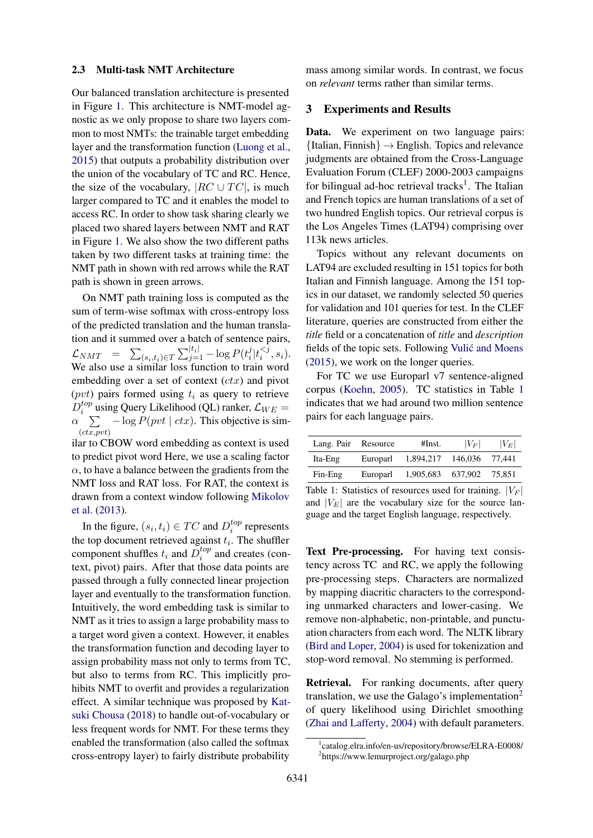### 2.3 Multi-task NMT Architecture

Our balanced translation architecture is presented in Figure [1.](#page-1-0) This architecture is NMT-model agnostic as we only propose to share two layers common to most NMTs: the trainable target embedding layer and the transformation function [\(Luong et al.,](#page-4-3) [2015\)](#page-4-3) that outputs a probability distribution over the union of the vocabulary of TC and RC. Hence, the size of the vocabulary,  $|RC \cup TC|$ , is much larger compared to TC and it enables the model to access RC. In order to show task sharing clearly we placed two shared layers between NMT and RAT in Figure [1.](#page-1-0) We also show the two different paths taken by two different tasks at training time: the NMT path in shown with red arrows while the RAT path is shown in green arrows.

On NMT path training loss is computed as the sum of term-wise softmax with cross-entropy loss of the predicted translation and the human translation and it summed over a batch of sentence pairs,  $\mathcal{L}_{NMT}$  =  $\sum_{(s_i,t_i)\in T}\sum_{j=1}^{|t_i|}-\log P(t_i^j)$  $\frac{j}{i}$ <sub> $|t_i^{</sub>$  $\binom{<\jmath}{i}, s_i$ . We also use a similar loss function to train word embedding over a set of context  $(ctx)$  and pivot (*pvt*) pairs formed using  $t_i$  as query to retrieve  $D_i^{top}$  $i^{top}$  using Query Likelihood (QL) ranker,  $\mathcal{L}_{WE} =$  $\alpha \sum_{v} -\log P(pvt \mid ctx)$ . This objective is sim- $(ct\overline{x},\overline{pvt})$ 

ilar to CBOW word embedding as context is used to predict pivot word Here, we use a scaling factor  $\alpha$ , to have a balance between the gradients from the NMT loss and RAT loss. For RAT, the context is drawn from a context window following [Mikolov](#page-4-2) [et al.](#page-4-2) [\(2013\)](#page-4-2).

In the figure,  $(s_i, t_i) \in TC$  and  $D_i^{top}$  $i^{top}$  represents the top document retrieved against  $t_i$ . The shuffler component shuffles  $t_i$  and  $\overline{D}_i^{top}$  $i^{top}$  and creates (context, pivot) pairs. After that those data points are passed through a fully connected linear projection layer and eventually to the transformation function. Intuitively, the word embedding task is similar to NMT as it tries to assign a large probability mass to a target word given a context. However, it enables the transformation function and decoding layer to assign probability mass not only to terms from TC, but also to terms from RC. This implicitly prohibits NMT to overfit and provides a regularization effect. A similar technique was proposed by [Kat](#page-4-5)[suki Chousa](#page-4-5) [\(2018\)](#page-4-5) to handle out-of-vocabulary or less frequent words for NMT. For these terms they enabled the transformation (also called the softmax cross-entropy layer) to fairly distribute probability

mass among similar words. In contrast, we focus on *relevant* terms rather than similar terms.

#### 3 Experiments and Results

Data. We experiment on two language pairs:  ${Italian, Finnish} \rightarrow English. Topics and relevance$ judgments are obtained from the Cross-Language Evaluation Forum (CLEF) 2000-2003 campaigns for bilingual ad-hoc retrieval tracks<sup>[1](#page-0-0)</sup>. The Italian and French topics are human translations of a set of two hundred English topics. Our retrieval corpus is the Los Angeles Times (LAT94) comprising over 113k news articles.

Topics without any relevant documents on LAT94 are excluded resulting in 151 topics for both Italian and Finnish language. Among the 151 topics in our dataset, we randomly selected 50 queries for validation and 101 queries for test. In the CLEF literature, queries are constructed from either the *title* field or a concatenation of *title* and *description* fields of the topic sets. Following [Vulic and Moens](#page-5-5) ´ [\(2015\)](#page-5-5), we work on the longer queries.

For TC we use Europarl v7 sentence-aligned corpus [\(Koehn,](#page-4-6) [2005\)](#page-4-6). TC statistics in Table [1](#page-2-0) indicates that we had around two million sentence pairs for each language pairs.

<span id="page-2-0"></span>

| Lang. Pair Resource |          | #Inst.    | $ V_F $        | $ V_E $ |
|---------------------|----------|-----------|----------------|---------|
| Ita-Eng             | Europarl | 1,894,217 | 146,036 77,441 |         |
| $Fin-Eng$           | Europarl | 1,905,683 | 637.902        | 75.851  |

Table 1: Statistics of resources used for training.  $|V_F|$ and  $|V_E|$  are the vocabulary size for the source language and the target English language, respectively.

Text Pre-processing. For having text consistency across TC and RC, we apply the following pre-processing steps. Characters are normalized by mapping diacritic characters to the corresponding unmarked characters and lower-casing. We remove non-alphabetic, non-printable, and punctuation characters from each word. The NLTK library [\(Bird and Loper,](#page-4-7) [2004\)](#page-4-7) is used for tokenization and stop-word removal. No stemming is performed.

Retrieval. For ranking documents, after query translation, we use the Galago's implementation<sup>[2](#page-0-0)</sup> of query likelihood using Dirichlet smoothing [\(Zhai and Lafferty,](#page-5-6) [2004\)](#page-5-6) with default parameters.

<sup>1</sup> catalog.elra.info/en-us/repository/browse/ELRA-E0008/ 2 https://www.lemurproject.org/galago.php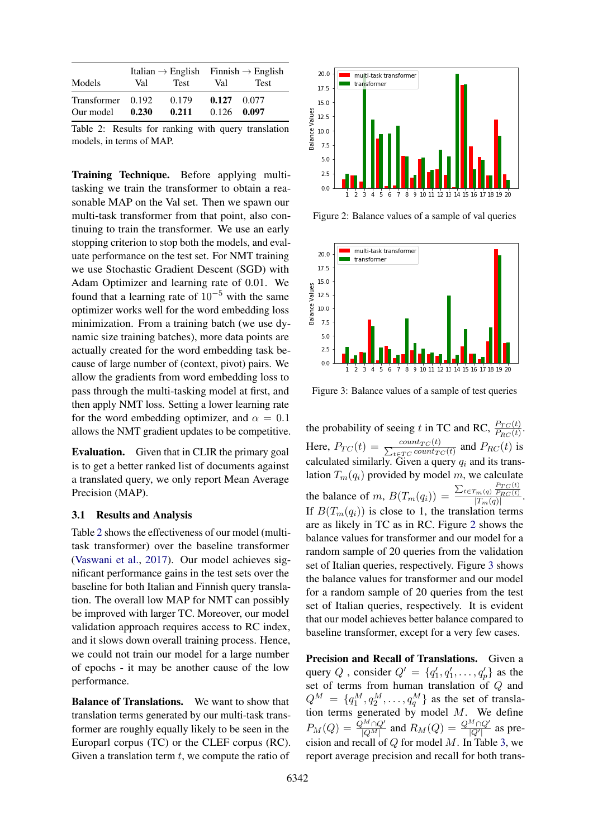<span id="page-3-0"></span>

|                   |       |             | Italian $\rightarrow$ English Finnish $\rightarrow$ English |             |
|-------------------|-------|-------------|-------------------------------------------------------------|-------------|
| Models            | Val   | <b>Test</b> | Val                                                         | <b>Test</b> |
| Transformer 0.192 |       | 0.179       | 0.127                                                       | 0.077       |
| Our model         | 0.230 | 0.211       | 0.126                                                       | 0.097       |

Table 2: Results for ranking with query translation models, in terms of MAP.

Training Technique. Before applying multitasking we train the transformer to obtain a reasonable MAP on the Val set. Then we spawn our multi-task transformer from that point, also continuing to train the transformer. We use an early stopping criterion to stop both the models, and evaluate performance on the test set. For NMT training we use Stochastic Gradient Descent (SGD) with Adam Optimizer and learning rate of 0.01. We found that a learning rate of  $10^{-5}$  with the same optimizer works well for the word embedding loss minimization. From a training batch (we use dynamic size training batches), more data points are actually created for the word embedding task because of large number of (context, pivot) pairs. We allow the gradients from word embedding loss to pass through the multi-tasking model at first, and then apply NMT loss. Setting a lower learning rate for the word embedding optimizer, and  $\alpha = 0.1$ allows the NMT gradient updates to be competitive.

Evaluation. Given that in CLIR the primary goal is to get a better ranked list of documents against a translated query, we only report Mean Average Precision (MAP).

#### 3.1 Results and Analysis

Table [2](#page-3-0) shows the effectiveness of our model (multitask transformer) over the baseline transformer [\(Vaswani et al.,](#page-5-4) [2017\)](#page-5-4). Our model achieves significant performance gains in the test sets over the baseline for both Italian and Finnish query translation. The overall low MAP for NMT can possibly be improved with larger TC. Moreover, our model validation approach requires access to RC index, and it slows down overall training process. Hence, we could not train our model for a large number of epochs - it may be another cause of the low performance.

Balance of Translations. We want to show that translation terms generated by our multi-task transformer are roughly equally likely to be seen in the Europarl corpus (TC) or the CLEF corpus (RC). Given a translation term  $t$ , we compute the ratio of

<span id="page-3-1"></span>

Figure 2: Balance values of a sample of val queries

<span id="page-3-2"></span>

Figure 3: Balance values of a sample of test queries

the probability of seeing t in TC and RC,  $\frac{P_{TC}(t)}{P_{RC}(t)}$ . Here,  $P_{TC}(t) = \frac{count_{TC}(t)}{\sum_{t \in TC} count_T}$  $\frac{count_{TC}(t)}{t \in TC}$  and  $P_{RC}(t)$  is calculated similarly. Given a query  $q_i$  and its translation  $T_m(q_i)$  provided by model m, we calculate the balance of m,  $B(T_m(q_i)) = \frac{\sum_{t \in T_m(q)} \frac{P_{TC}(t)}{P_{RC}(t)}}{|T_m(q)|}$ . If  $B(T_m(q_i))$  is close to 1, the translation terms are as likely in TC as in RC. Figure [2](#page-3-1) shows the balance values for transformer and our model for a random sample of 20 queries from the validation set of Italian queries, respectively. Figure [3](#page-3-2) shows the balance values for transformer and our model for a random sample of 20 queries from the test set of Italian queries, respectively. It is evident that our model achieves better balance compared to baseline transformer, except for a very few cases.

Precision and Recall of Translations. Given a query Q, consider  $Q' = \{q'_1, q'_1, \ldots, q'_p\}$  as the set of terms from human translation of Q and  $Q^M = \{q_1^M, q_2^M, \ldots, q_q^M\}$  as the set of translation terms generated by model  $M$ . We define  $P_M(Q) = \frac{Q^M \cap Q'}{|Q^M|}$  and  $R_M(Q) = \frac{Q^M \cap Q'}{|Q'|}$  as precision and recall of  $Q$  for model  $M$ . In Table [3,](#page-4-8) we report average precision and recall for both trans-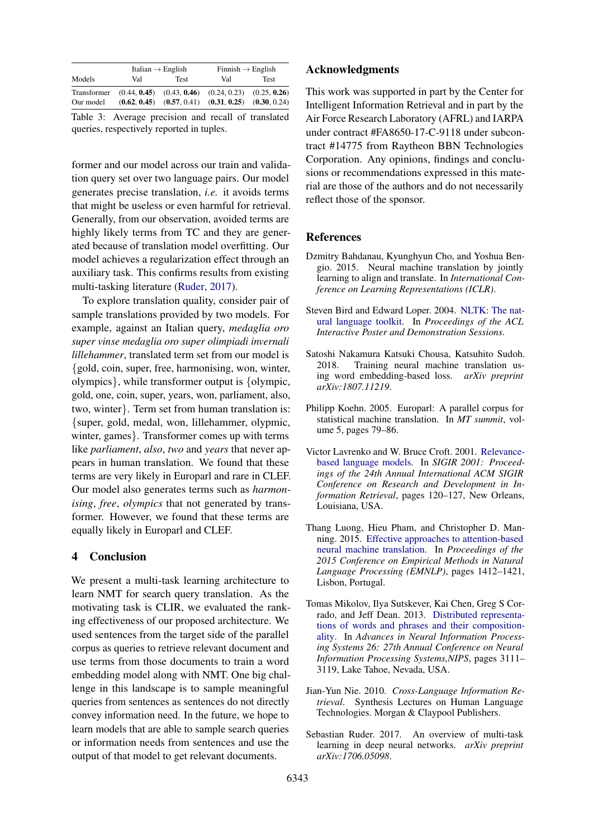<span id="page-4-8"></span>

|             | Italian $\rightarrow$ English |             | Finnish $\rightarrow$ English                               |              |
|-------------|-------------------------------|-------------|-------------------------------------------------------------|--------------|
| Models      | Val                           | <b>Test</b> | Val                                                         | <b>Test</b>  |
| Transformer |                               |             | $(0.44, 0.45)$ $(0.43, 0.46)$ $(0.24, 0.23)$ $(0.25, 0.26)$ |              |
| Our model   |                               |             | $(0.62, 0.45)$ $(0.57, 0.41)$ $(0.31, 0.25)$                | (0.30, 0.24) |

Table 3: Average precision and recall of translated queries, respectively reported in tuples.

former and our model across our train and validation query set over two language pairs. Our model generates precise translation, *i.e.* it avoids terms that might be useless or even harmful for retrieval. Generally, from our observation, avoided terms are highly likely terms from TC and they are generated because of translation model overfitting. Our model achieves a regularization effect through an auxiliary task. This confirms results from existing multi-tasking literature [\(Ruder,](#page-4-9) [2017\)](#page-4-9).

To explore translation quality, consider pair of sample translations provided by two models. For example, against an Italian query, *medaglia oro super vinse medaglia oro super olimpiadi invernali lillehammer*, translated term set from our model is {gold, coin, super, free, harmonising, won, winter, olympics}, while transformer output is {olympic, gold, one, coin, super, years, won, parliament, also, two, winter}. Term set from human translation is: {super, gold, medal, won, lillehammer, olypmic, winter, games}. Transformer comes up with terms like *parliament*, *also*, *two* and *years* that never appears in human translation. We found that these terms are very likely in Europarl and rare in CLEF. Our model also generates terms such as *harmonising*, *free*, *olympics* that not generated by transformer. However, we found that these terms are equally likely in Europarl and CLEF.

## 4 Conclusion

We present a multi-task learning architecture to learn NMT for search query translation. As the motivating task is CLIR, we evaluated the ranking effectiveness of our proposed architecture. We used sentences from the target side of the parallel corpus as queries to retrieve relevant document and use terms from those documents to train a word embedding model along with NMT. One big challenge in this landscape is to sample meaningful queries from sentences as sentences do not directly convey information need. In the future, we hope to learn models that are able to sample search queries or information needs from sentences and use the output of that model to get relevant documents.

### Acknowledgments

This work was supported in part by the Center for Intelligent Information Retrieval and in part by the Air Force Research Laboratory (AFRL) and IARPA under contract #FA8650-17-C-9118 under subcontract #14775 from Raytheon BBN Technologies Corporation. Any opinions, findings and conclusions or recommendations expressed in this material are those of the authors and do not necessarily reflect those of the sponsor.

## References

- <span id="page-4-1"></span>Dzmitry Bahdanau, Kyunghyun Cho, and Yoshua Bengio. 2015. Neural machine translation by jointly learning to align and translate. In *International Conference on Learning Representations (ICLR)*.
- <span id="page-4-7"></span>Steven Bird and Edward Loper. 2004. [NLTK: The nat](http://aclweb.org/anthology/P04-3031)[ural language toolkit.](http://aclweb.org/anthology/P04-3031) In *Proceedings of the ACL Interactive Poster and Demonstration Sessions*.
- <span id="page-4-5"></span>Satoshi Nakamura Katsuki Chousa, Katsuhito Sudoh. 2018. Training neural machine translation using word embedding-based loss. *arXiv preprint arXiv:1807.11219*.
- <span id="page-4-6"></span>Philipp Koehn. 2005. Europarl: A parallel corpus for statistical machine translation. In *MT summit*, volume 5, pages 79–86.
- <span id="page-4-4"></span>Victor Lavrenko and W. Bruce Croft. 2001. [Relevance](https://doi.org/10.1145/383952.383972)[based language models.](https://doi.org/10.1145/383952.383972) In *SIGIR 2001: Proceedings of the 24th Annual International ACM SIGIR Conference on Research and Development in Information Retrieval*, pages 120–127, New Orleans, Louisiana, USA.
- <span id="page-4-3"></span>Thang Luong, Hieu Pham, and Christopher D. Manning. 2015. [Effective approaches to attention-based](http://aclweb.org/anthology/D/D15/D15-1166.pdf) [neural machine translation.](http://aclweb.org/anthology/D/D15/D15-1166.pdf) In *Proceedings of the 2015 Conference on Empirical Methods in Natural Language Processing (EMNLP)*, pages 1412–1421, Lisbon, Portugal.
- <span id="page-4-2"></span>Tomas Mikolov, Ilya Sutskever, Kai Chen, Greg S Corrado, and Jeff Dean. 2013. [Distributed representa](http://papers.nips.cc/paper/5021-distributed-representations-of-words-and-phrases-and-their-compositionality)[tions of words and phrases and their composition](http://papers.nips.cc/paper/5021-distributed-representations-of-words-and-phrases-and-their-compositionality)[ality.](http://papers.nips.cc/paper/5021-distributed-representations-of-words-and-phrases-and-their-compositionality) In *Advances in Neural Information Processing Systems 26: 27th Annual Conference on Neural Information Processing Systems,NIPS*, pages 3111– 3119, Lake Tahoe, Nevada, USA.
- <span id="page-4-0"></span>Jian-Yun Nie. 2010. *Cross-Language Information Retrieval*. Synthesis Lectures on Human Language Technologies. Morgan & Claypool Publishers.
- <span id="page-4-9"></span>Sebastian Ruder. 2017. An overview of multi-task learning in deep neural networks. *arXiv preprint arXiv:1706.05098*.